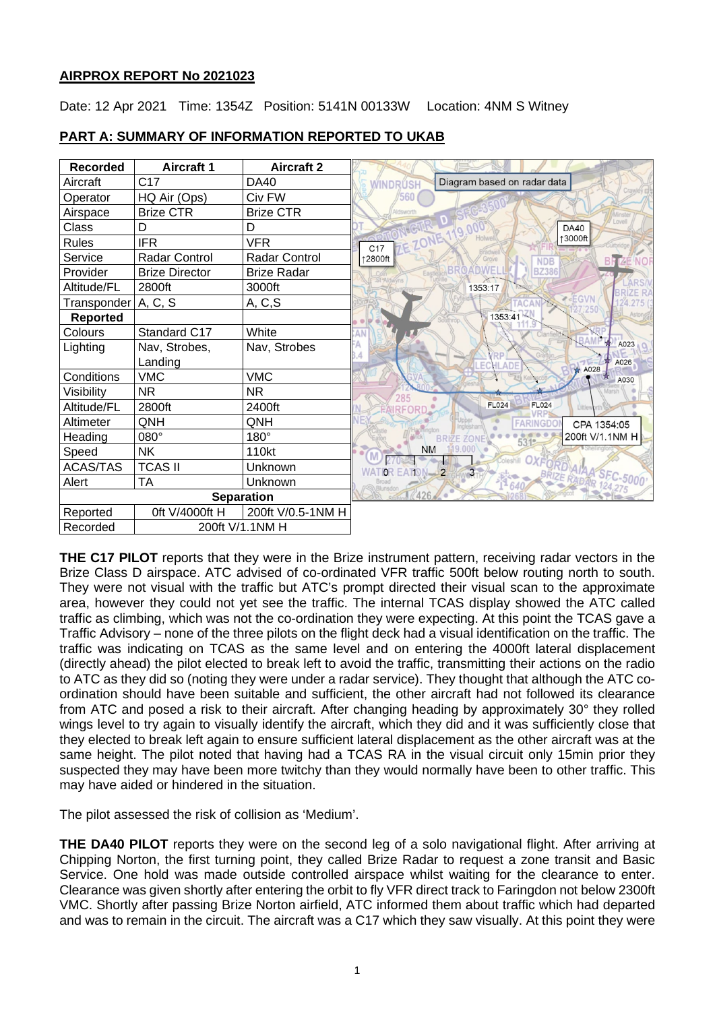### **AIRPROX REPORT No 2021023**

Date: 12 Apr 2021 Time: 1354Z Position: 5141N 00133W Location: 4NM S Witney

| <b>Recorded</b>             | <b>Aircraft 1</b>     | <b>Aircraft 2</b>    |                                                                 |
|-----------------------------|-----------------------|----------------------|-----------------------------------------------------------------|
| Aircraft                    | C <sub>17</sub>       | DA40                 | Diagram based on radar data<br><b>MINDRUSH</b>                  |
| Operator                    | HQ Air (Ops)          | Civ FW               | /560                                                            |
| Airspace                    | <b>Brize CTR</b>      | <b>Brize CTR</b>     |                                                                 |
| Class                       | D                     | D                    | <b>DA40</b><br>19.01                                            |
| <b>Rules</b>                | <b>IFR</b>            | VFR                  | ↑3000ft<br><b>ZE ZO</b><br>C <sub>17</sub>                      |
| Service                     | Radar Control         | <b>Radar Control</b> | ↑2800ft<br><b>BRIZE</b><br><b>NO</b><br><b>NDB</b>              |
| Provider                    | <b>Brize Director</b> | <b>Brize Radar</b>   | <b>ADWEI</b><br><b>BZ386</b>                                    |
| Altitude/FL                 | 2800ft                | 3000ft               | 1353:17                                                         |
| Transponder   A, C, S       |                       | A, C, S              | <b>ZEGVN</b>                                                    |
| <b>Reported</b>             |                       |                      | 1353:41                                                         |
| Colours                     | Standard C17          | White                |                                                                 |
| Lighting                    | Nav, Strobes,         | Nav, Strobes         | A023                                                            |
|                             | Landing               |                      | A026<br>ADF<br>$*$ A028                                         |
| Conditions                  | <b>VMC</b>            | <b>VMC</b>           | A030                                                            |
| Visibility                  | <b>NR</b>             | NR.                  | 285                                                             |
| Altitude/FL                 | 2800ft                | 2400ft               | <b>FL024</b><br><b>FL024</b>                                    |
| Altimeter                   | QNH                   | QNH                  | <b>FARINGDO</b><br>CPA 1354:05                                  |
| Heading                     | 080°                  | 180°                 | 200ft V/1.1NM H<br><b>BRIZE ZONI</b><br>531 <sup>e</sup>        |
| Speed                       | <b>NK</b>             | 110kt                | 119,000<br><b>NM</b>                                            |
| <b>ACAS/TAS</b>             | <b>TCAS II</b>        | Unknown              | SORSHILL OXFORD AIAA SEC-5000<br><b>WATOR</b><br><b>EATON-2</b> |
| Alert                       | <b>TA</b>             | Unknown              |                                                                 |
| <b>Separation</b>           |                       |                      | 426                                                             |
| Reported                    | 0ft V/4000ft H        | 200ft V/0.5-1NM H    |                                                                 |
| 200ft V/1.1NM H<br>Recorded |                       |                      |                                                                 |

### **PART A: SUMMARY OF INFORMATION REPORTED TO UKAB**

**THE C17 PILOT** reports that they were in the Brize instrument pattern, receiving radar vectors in the Brize Class D airspace. ATC advised of co-ordinated VFR traffic 500ft below routing north to south. They were not visual with the traffic but ATC's prompt directed their visual scan to the approximate area, however they could not yet see the traffic. The internal TCAS display showed the ATC called traffic as climbing, which was not the co-ordination they were expecting. At this point the TCAS gave a Traffic Advisory – none of the three pilots on the flight deck had a visual identification on the traffic. The traffic was indicating on TCAS as the same level and on entering the 4000ft lateral displacement (directly ahead) the pilot elected to break left to avoid the traffic, transmitting their actions on the radio to ATC as they did so (noting they were under a radar service). They thought that although the ATC coordination should have been suitable and sufficient, the other aircraft had not followed its clearance from ATC and posed a risk to their aircraft. After changing heading by approximately 30° they rolled wings level to try again to visually identify the aircraft, which they did and it was sufficiently close that they elected to break left again to ensure sufficient lateral displacement as the other aircraft was at the same height. The pilot noted that having had a TCAS RA in the visual circuit only 15min prior they suspected they may have been more twitchy than they would normally have been to other traffic. This may have aided or hindered in the situation.

The pilot assessed the risk of collision as 'Medium'.

**THE DA40 PILOT** reports they were on the second leg of a solo navigational flight. After arriving at Chipping Norton, the first turning point, they called Brize Radar to request a zone transit and Basic Service. One hold was made outside controlled airspace whilst waiting for the clearance to enter. Clearance was given shortly after entering the orbit to fly VFR direct track to Faringdon not below 2300ft VMC. Shortly after passing Brize Norton airfield, ATC informed them about traffic which had departed and was to remain in the circuit. The aircraft was a C17 which they saw visually. At this point they were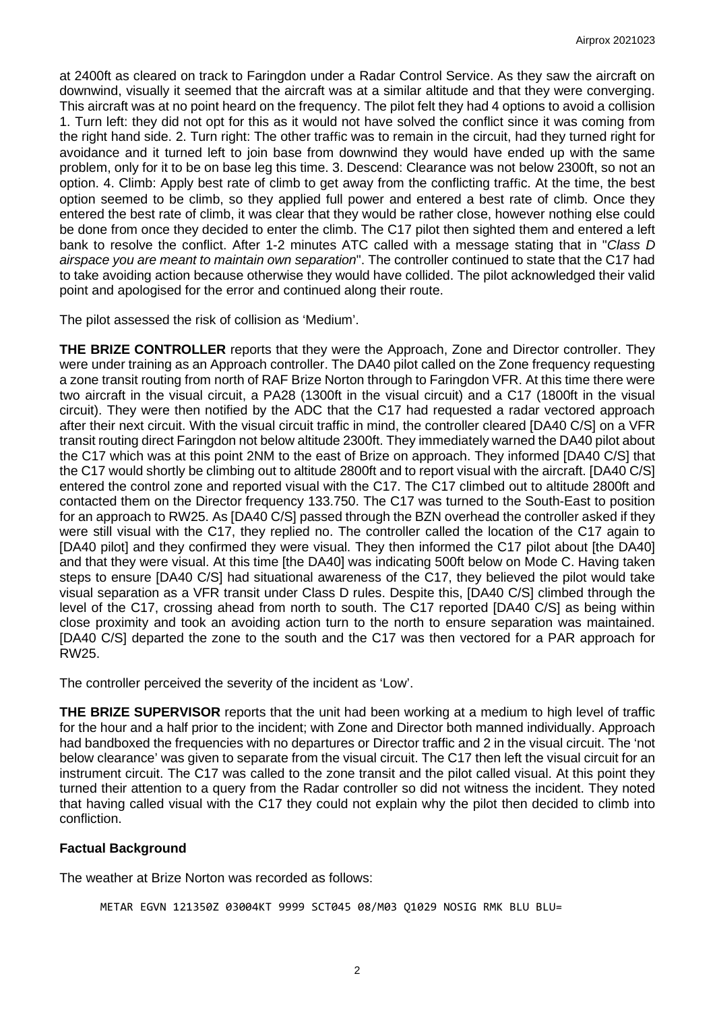at 2400ft as cleared on track to Faringdon under a Radar Control Service. As they saw the aircraft on downwind, visually it seemed that the aircraft was at a similar altitude and that they were converging. This aircraft was at no point heard on the frequency. The pilot felt they had 4 options to avoid a collision 1. Turn left: they did not opt for this as it would not have solved the conflict since it was coming from the right hand side. 2. Turn right: The other traffic was to remain in the circuit, had they turned right for avoidance and it turned left to join base from downwind they would have ended up with the same problem, only for it to be on base leg this time. 3. Descend: Clearance was not below 2300ft, so not an option. 4. Climb: Apply best rate of climb to get away from the conflicting traffic. At the time, the best option seemed to be climb, so they applied full power and entered a best rate of climb. Once they entered the best rate of climb, it was clear that they would be rather close, however nothing else could be done from once they decided to enter the climb. The C17 pilot then sighted them and entered a left bank to resolve the conflict. After 1-2 minutes ATC called with a message stating that in "*Class D airspace you are meant to maintain own separation*". The controller continued to state that the C17 had to take avoiding action because otherwise they would have collided. The pilot acknowledged their valid point and apologised for the error and continued along their route.

The pilot assessed the risk of collision as 'Medium'.

**THE BRIZE CONTROLLER** reports that they were the Approach, Zone and Director controller. They were under training as an Approach controller. The DA40 pilot called on the Zone frequency requesting a zone transit routing from north of RAF Brize Norton through to Faringdon VFR. At this time there were two aircraft in the visual circuit, a PA28 (1300ft in the visual circuit) and a C17 (1800ft in the visual circuit). They were then notified by the ADC that the C17 had requested a radar vectored approach after their next circuit. With the visual circuit traffic in mind, the controller cleared [DA40 C/S] on a VFR transit routing direct Faringdon not below altitude 2300ft. They immediately warned the DA40 pilot about the C17 which was at this point 2NM to the east of Brize on approach. They informed [DA40 C/S] that the C17 would shortly be climbing out to altitude 2800ft and to report visual with the aircraft. [DA40 C/S] entered the control zone and reported visual with the C17. The C17 climbed out to altitude 2800ft and contacted them on the Director frequency 133.750. The C17 was turned to the South-East to position for an approach to RW25. As [DA40 C/S] passed through the BZN overhead the controller asked if they were still visual with the C17, they replied no. The controller called the location of the C17 again to [DA40 pilot] and they confirmed they were visual. They then informed the C17 pilot about [the DA40] and that they were visual. At this time [the DA40] was indicating 500ft below on Mode C. Having taken steps to ensure [DA40 C/S] had situational awareness of the C17, they believed the pilot would take visual separation as a VFR transit under Class D rules. Despite this, [DA40 C/S] climbed through the level of the C17, crossing ahead from north to south. The C17 reported [DA40 C/S] as being within close proximity and took an avoiding action turn to the north to ensure separation was maintained. [DA40 C/S] departed the zone to the south and the C17 was then vectored for a PAR approach for RW25.

The controller perceived the severity of the incident as 'Low'.

**THE BRIZE SUPERVISOR** reports that the unit had been working at a medium to high level of traffic for the hour and a half prior to the incident; with Zone and Director both manned individually. Approach had bandboxed the frequencies with no departures or Director traffic and 2 in the visual circuit. The 'not below clearance' was given to separate from the visual circuit. The C17 then left the visual circuit for an instrument circuit. The C17 was called to the zone transit and the pilot called visual. At this point they turned their attention to a query from the Radar controller so did not witness the incident. They noted that having called visual with the C17 they could not explain why the pilot then decided to climb into confliction.

### **Factual Background**

The weather at Brize Norton was recorded as follows:

METAR EGVN 121350Z 03004KT 9999 SCT045 08/M03 Q1029 NOSIG RMK BLU BLU=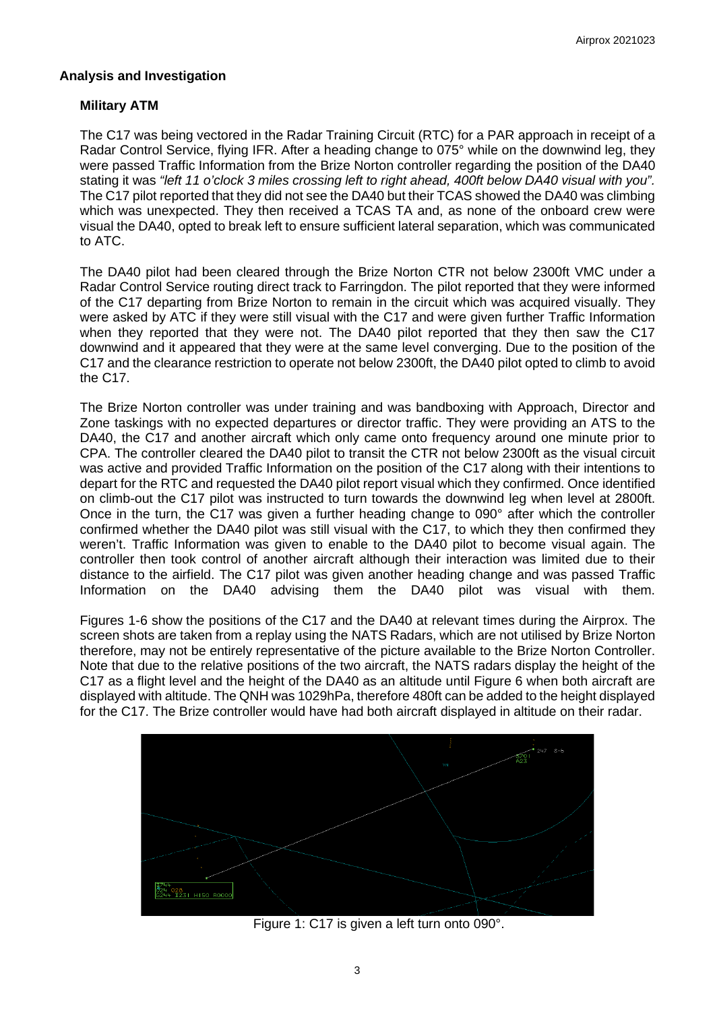#### **Analysis and Investigation**

#### **Military ATM**

The C17 was being vectored in the Radar Training Circuit (RTC) for a PAR approach in receipt of a Radar Control Service, flying IFR. After a heading change to 075° while on the downwind leg, they were passed Traffic Information from the Brize Norton controller regarding the position of the DA40 stating it was *"left 11 o'clock 3 miles crossing left to right ahead, 400ft below DA40 visual with you".*  The C17 pilot reported that they did not see the DA40 but their TCAS showed the DA40 was climbing which was unexpected. They then received a TCAS TA and, as none of the onboard crew were visual the DA40, opted to break left to ensure sufficient lateral separation, which was communicated to ATC.

The DA40 pilot had been cleared through the Brize Norton CTR not below 2300ft VMC under a Radar Control Service routing direct track to Farringdon. The pilot reported that they were informed of the C17 departing from Brize Norton to remain in the circuit which was acquired visually. They were asked by ATC if they were still visual with the C17 and were given further Traffic Information when they reported that they were not. The DA40 pilot reported that they then saw the C17 downwind and it appeared that they were at the same level converging. Due to the position of the C17 and the clearance restriction to operate not below 2300ft, the DA40 pilot opted to climb to avoid the C17.

The Brize Norton controller was under training and was bandboxing with Approach, Director and Zone taskings with no expected departures or director traffic. They were providing an ATS to the DA40, the C17 and another aircraft which only came onto frequency around one minute prior to CPA. The controller cleared the DA40 pilot to transit the CTR not below 2300ft as the visual circuit was active and provided Traffic Information on the position of the C17 along with their intentions to depart for the RTC and requested the DA40 pilot report visual which they confirmed. Once identified on climb-out the C17 pilot was instructed to turn towards the downwind leg when level at 2800ft. Once in the turn, the C17 was given a further heading change to 090° after which the controller confirmed whether the DA40 pilot was still visual with the C17, to which they then confirmed they weren't. Traffic Information was given to enable to the DA40 pilot to become visual again. The controller then took control of another aircraft although their interaction was limited due to their distance to the airfield. The C17 pilot was given another heading change and was passed Traffic Information on the DA40 advising them the DA40 pilot was visual with them.

Figures 1-6 show the positions of the C17 and the DA40 at relevant times during the Airprox. The screen shots are taken from a replay using the NATS Radars, which are not utilised by Brize Norton therefore, may not be entirely representative of the picture available to the Brize Norton Controller. Note that due to the relative positions of the two aircraft, the NATS radars display the height of the C17 as a flight level and the height of the DA40 as an altitude until Figure 6 when both aircraft are displayed with altitude. The QNH was 1029hPa, therefore 480ft can be added to the height displayed for the C17. The Brize controller would have had both aircraft displayed in altitude on their radar.



Figure 1: C17 is given a left turn onto 090°.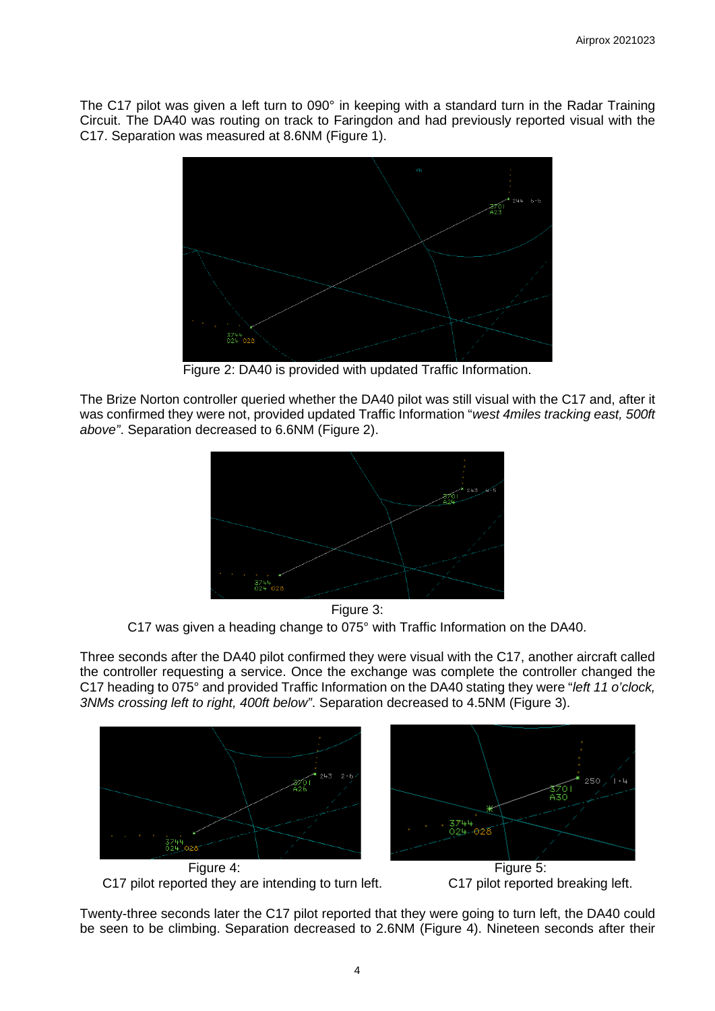The C17 pilot was given a left turn to 090° in keeping with a standard turn in the Radar Training Circuit. The DA40 was routing on track to Faringdon and had previously reported visual with the C17. Separation was measured at 8.6NM (Figure 1).



Figure 2: DA40 is provided with updated Traffic Information.

The Brize Norton controller queried whether the DA40 pilot was still visual with the C17 and, after it was confirmed they were not, provided updated Traffic Information "*west 4miles tracking east, 500ft above"*. Separation decreased to 6.6NM (Figure 2).



Figure 3: C17 was given a heading change to 075° with Traffic Information on the DA40.

Three seconds after the DA40 pilot confirmed they were visual with the C17, another aircraft called the controller requesting a service. Once the exchange was complete the controller changed the C17 heading to 075° and provided Traffic Information on the DA40 stating they were "*left 11 o'clock, 3NMs crossing left to right, 400ft below"*. Separation decreased to 4.5NM (Figure 3).





C17 pilot reported they are intending to turn left. C17 pilot reported breaking left.



Twenty-three seconds later the C17 pilot reported that they were going to turn left, the DA40 could be seen to be climbing. Separation decreased to 2.6NM (Figure 4). Nineteen seconds after their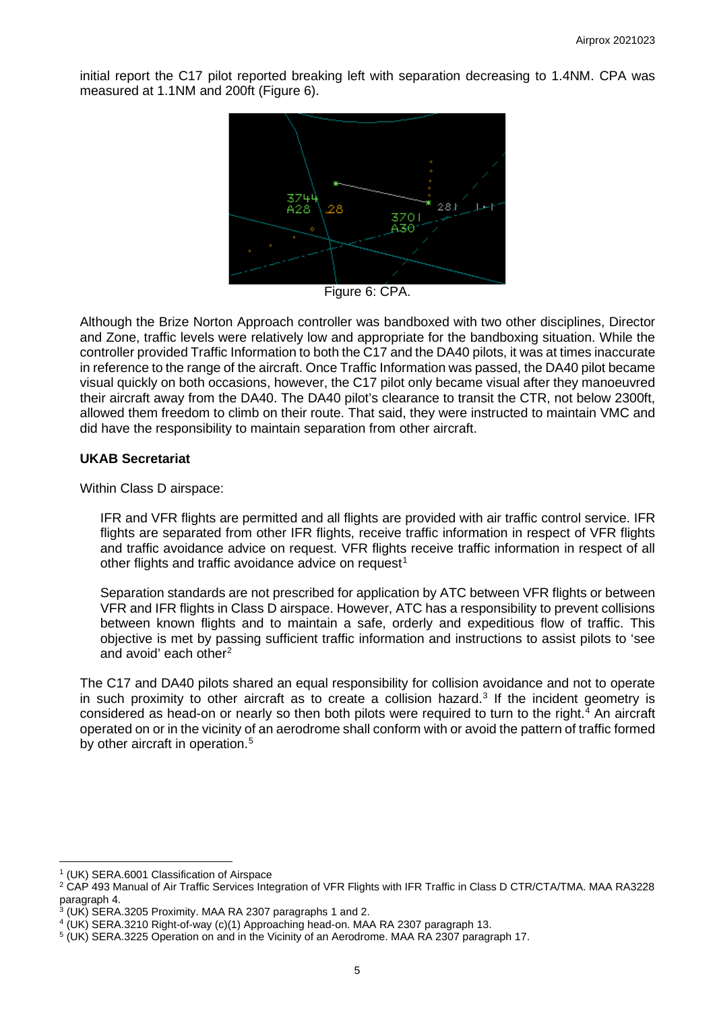initial report the C17 pilot reported breaking left with separation decreasing to 1.4NM. CPA was measured at 1.1NM and 200ft (Figure 6).



Figure 6: CPA.

Although the Brize Norton Approach controller was bandboxed with two other disciplines, Director and Zone, traffic levels were relatively low and appropriate for the bandboxing situation. While the controller provided Traffic Information to both the C17 and the DA40 pilots, it was at times inaccurate in reference to the range of the aircraft. Once Traffic Information was passed, the DA40 pilot became visual quickly on both occasions, however, the C17 pilot only became visual after they manoeuvred their aircraft away from the DA40. The DA40 pilot's clearance to transit the CTR, not below 2300ft, allowed them freedom to climb on their route. That said, they were instructed to maintain VMC and did have the responsibility to maintain separation from other aircraft.

#### **UKAB Secretariat**

Within Class D airspace:

IFR and VFR flights are permitted and all flights are provided with air traffic control service. IFR flights are separated from other IFR flights, receive traffic information in respect of VFR flights and traffic avoidance advice on request. VFR flights receive traffic information in respect of all other flights and traffic avoidance advice on request<sup>[1](#page-4-0)</sup>

Separation standards are not prescribed for application by ATC between VFR flights or between VFR and IFR flights in Class D airspace. However, ATC has a responsibility to prevent collisions between known flights and to maintain a safe, orderly and expeditious flow of traffic. This objective is met by passing sufficient traffic information and instructions to assist pilots to 'see and avoid' each other<sup>[2](#page-4-1)</sup>

The C17 and DA40 pilots shared an equal responsibility for collision avoidance and not to operate in such proximity to other aircraft as to create a collision hazard.<sup>[3](#page-4-2)</sup> If the incident geometry is considered as head-on or nearly so then both pilots were required to turn to the right. [4](#page-4-3) An aircraft operated on or in the vicinity of an aerodrome shall conform with or avoid the pattern of traffic formed by other aircraft in operation.<sup>[5](#page-4-4)</sup>

<span id="page-4-1"></span><span id="page-4-0"></span><sup>&</sup>lt;sup>1</sup> (UK) SERA.6001 Classification of Airspace<br><sup>2</sup> CAP 493 Manual of Air Traffic Services Integration of VFR Flights with IFR Traffic in Class D CTR/CTA/TMA. MAA RA3228 paragraph 4.

<span id="page-4-2"></span> $3$  (UK) SERA.3205 Proximity. MAA RA 2307 paragraphs 1 and 2.

<span id="page-4-3"></span><sup>4</sup> (UK) SERA.3210 Right-of-way (c)(1) Approaching head-on. MAA RA 2307 paragraph 13.

<span id="page-4-4"></span><sup>&</sup>lt;sup>5</sup> (UK) SERA.3225 Operation on and in the Vicinity of an Aerodrome. MAA RA 2307 paragraph 17.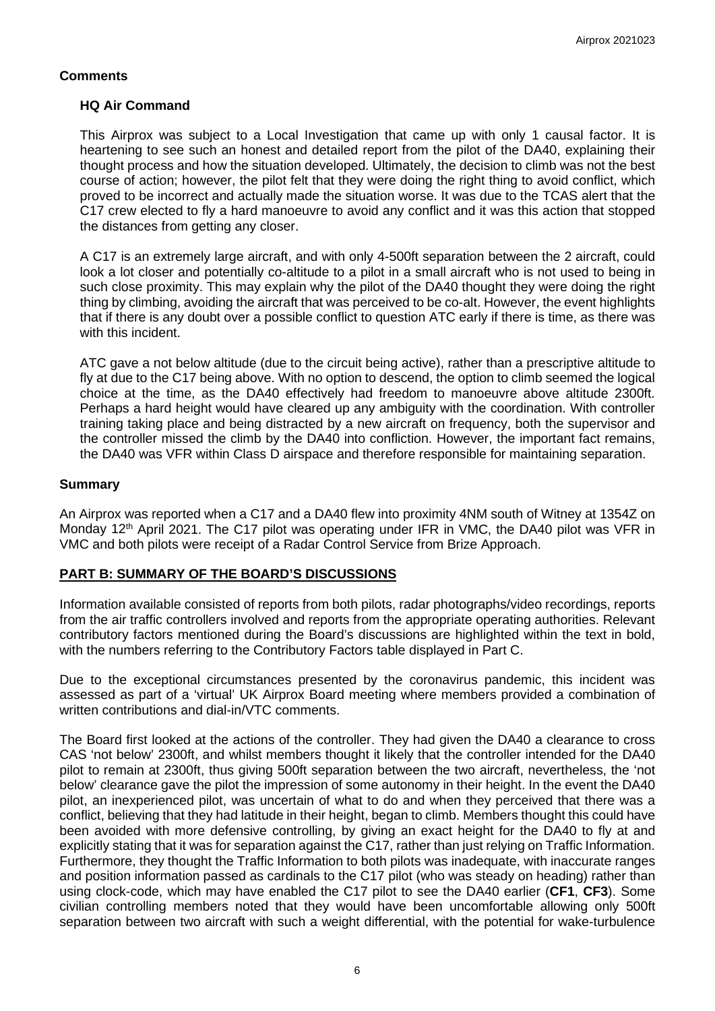### **Comments**

#### **HQ Air Command**

This Airprox was subject to a Local Investigation that came up with only 1 causal factor. It is heartening to see such an honest and detailed report from the pilot of the DA40, explaining their thought process and how the situation developed. Ultimately, the decision to climb was not the best course of action; however, the pilot felt that they were doing the right thing to avoid conflict, which proved to be incorrect and actually made the situation worse. It was due to the TCAS alert that the C17 crew elected to fly a hard manoeuvre to avoid any conflict and it was this action that stopped the distances from getting any closer.

A C17 is an extremely large aircraft, and with only 4-500ft separation between the 2 aircraft, could look a lot closer and potentially co-altitude to a pilot in a small aircraft who is not used to being in such close proximity. This may explain why the pilot of the DA40 thought they were doing the right thing by climbing, avoiding the aircraft that was perceived to be co-alt. However, the event highlights that if there is any doubt over a possible conflict to question ATC early if there is time, as there was with this incident.

ATC gave a not below altitude (due to the circuit being active), rather than a prescriptive altitude to fly at due to the C17 being above. With no option to descend, the option to climb seemed the logical choice at the time, as the DA40 effectively had freedom to manoeuvre above altitude 2300ft. Perhaps a hard height would have cleared up any ambiguity with the coordination. With controller training taking place and being distracted by a new aircraft on frequency, both the supervisor and the controller missed the climb by the DA40 into confliction. However, the important fact remains, the DA40 was VFR within Class D airspace and therefore responsible for maintaining separation.

### **Summary**

An Airprox was reported when a C17 and a DA40 flew into proximity 4NM south of Witney at 1354Z on Monday 12<sup>th</sup> April 2021. The C17 pilot was operating under IFR in VMC, the DA40 pilot was VFR in VMC and both pilots were receipt of a Radar Control Service from Brize Approach.

### **PART B: SUMMARY OF THE BOARD'S DISCUSSIONS**

Information available consisted of reports from both pilots, radar photographs/video recordings, reports from the air traffic controllers involved and reports from the appropriate operating authorities. Relevant contributory factors mentioned during the Board's discussions are highlighted within the text in bold, with the numbers referring to the Contributory Factors table displayed in Part C.

Due to the exceptional circumstances presented by the coronavirus pandemic, this incident was assessed as part of a 'virtual' UK Airprox Board meeting where members provided a combination of written contributions and dial-in/VTC comments.

The Board first looked at the actions of the controller. They had given the DA40 a clearance to cross CAS 'not below' 2300ft, and whilst members thought it likely that the controller intended for the DA40 pilot to remain at 2300ft, thus giving 500ft separation between the two aircraft, nevertheless, the 'not below' clearance gave the pilot the impression of some autonomy in their height. In the event the DA40 pilot, an inexperienced pilot, was uncertain of what to do and when they perceived that there was a conflict, believing that they had latitude in their height, began to climb. Members thought this could have been avoided with more defensive controlling, by giving an exact height for the DA40 to fly at and explicitly stating that it was for separation against the C17, rather than just relying on Traffic Information. Furthermore, they thought the Traffic Information to both pilots was inadequate, with inaccurate ranges and position information passed as cardinals to the C17 pilot (who was steady on heading) rather than using clock-code, which may have enabled the C17 pilot to see the DA40 earlier (**CF1**, **CF3**). Some civilian controlling members noted that they would have been uncomfortable allowing only 500ft separation between two aircraft with such a weight differential, with the potential for wake-turbulence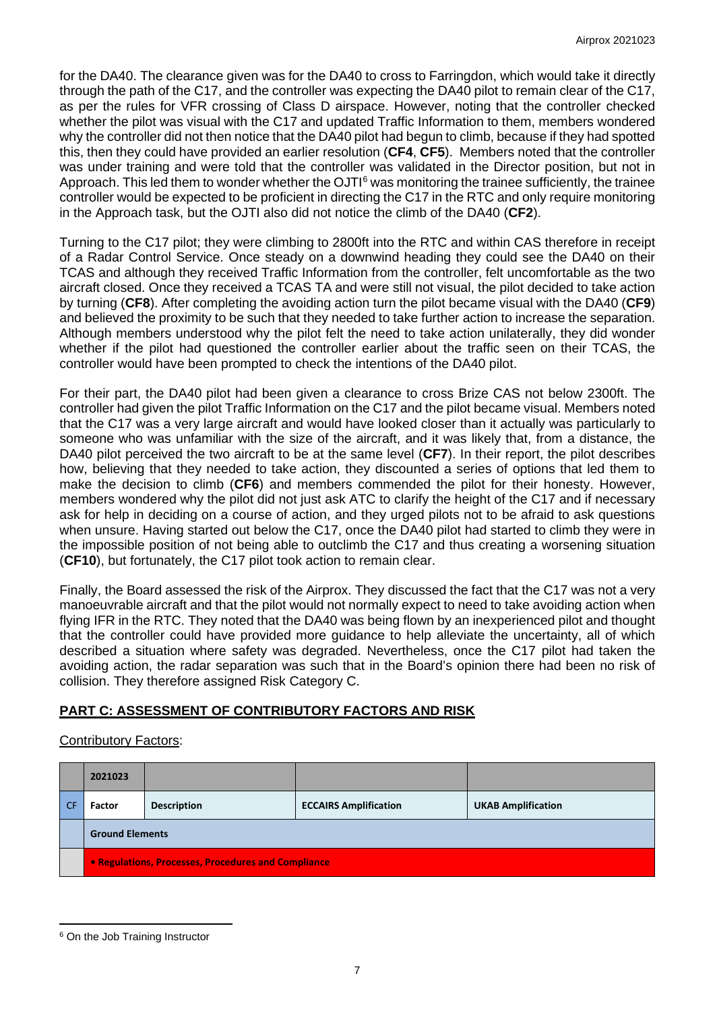for the DA40. The clearance given was for the DA40 to cross to Farringdon, which would take it directly through the path of the C17, and the controller was expecting the DA40 pilot to remain clear of the C17, as per the rules for VFR crossing of Class D airspace. However, noting that the controller checked whether the pilot was visual with the C17 and updated Traffic Information to them, members wondered why the controller did not then notice that the DA40 pilot had begun to climb, because if they had spotted this, then they could have provided an earlier resolution (**CF4**, **CF5**). Members noted that the controller was under training and were told that the controller was validated in the Director position, but not in Approach. This led them to wonder whether the  $OJT<sup>6</sup>$  $OJT<sup>6</sup>$  $OJT<sup>6</sup>$  was monitoring the trainee sufficiently, the trainee controller would be expected to be proficient in directing the C17 in the RTC and only require monitoring in the Approach task, but the OJTI also did not notice the climb of the DA40 (**CF2**).

Turning to the C17 pilot; they were climbing to 2800ft into the RTC and within CAS therefore in receipt of a Radar Control Service. Once steady on a downwind heading they could see the DA40 on their TCAS and although they received Traffic Information from the controller, felt uncomfortable as the two aircraft closed. Once they received a TCAS TA and were still not visual, the pilot decided to take action by turning (**CF8**). After completing the avoiding action turn the pilot became visual with the DA40 (**CF9**) and believed the proximity to be such that they needed to take further action to increase the separation. Although members understood why the pilot felt the need to take action unilaterally, they did wonder whether if the pilot had questioned the controller earlier about the traffic seen on their TCAS, the controller would have been prompted to check the intentions of the DA40 pilot.

For their part, the DA40 pilot had been given a clearance to cross Brize CAS not below 2300ft. The controller had given the pilot Traffic Information on the C17 and the pilot became visual. Members noted that the C17 was a very large aircraft and would have looked closer than it actually was particularly to someone who was unfamiliar with the size of the aircraft, and it was likely that, from a distance, the DA40 pilot perceived the two aircraft to be at the same level (**CF7**). In their report, the pilot describes how, believing that they needed to take action, they discounted a series of options that led them to make the decision to climb (**CF6**) and members commended the pilot for their honesty. However, members wondered why the pilot did not just ask ATC to clarify the height of the C17 and if necessary ask for help in deciding on a course of action, and they urged pilots not to be afraid to ask questions when unsure. Having started out below the C17, once the DA40 pilot had started to climb they were in the impossible position of not being able to outclimb the C17 and thus creating a worsening situation (**CF10**), but fortunately, the C17 pilot took action to remain clear.

Finally, the Board assessed the risk of the Airprox. They discussed the fact that the C17 was not a very manoeuvrable aircraft and that the pilot would not normally expect to need to take avoiding action when flying IFR in the RTC. They noted that the DA40 was being flown by an inexperienced pilot and thought that the controller could have provided more guidance to help alleviate the uncertainty, all of which described a situation where safety was degraded. Nevertheless, once the C17 pilot had taken the avoiding action, the radar separation was such that in the Board's opinion there had been no risk of collision. They therefore assigned Risk Category C.

# **PART C: ASSESSMENT OF CONTRIBUTORY FACTORS AND RISK**

## Contributory Factors:

| 2021023                                             |                    |                              |                           |  |  |
|-----------------------------------------------------|--------------------|------------------------------|---------------------------|--|--|
| Factor                                              | <b>Description</b> | <b>ECCAIRS Amplification</b> | <b>UKAB Amplification</b> |  |  |
| <b>Ground Elements</b>                              |                    |                              |                           |  |  |
| • Regulations, Processes, Procedures and Compliance |                    |                              |                           |  |  |

<span id="page-6-0"></span><sup>&</sup>lt;sup>6</sup> On the Job Training Instructor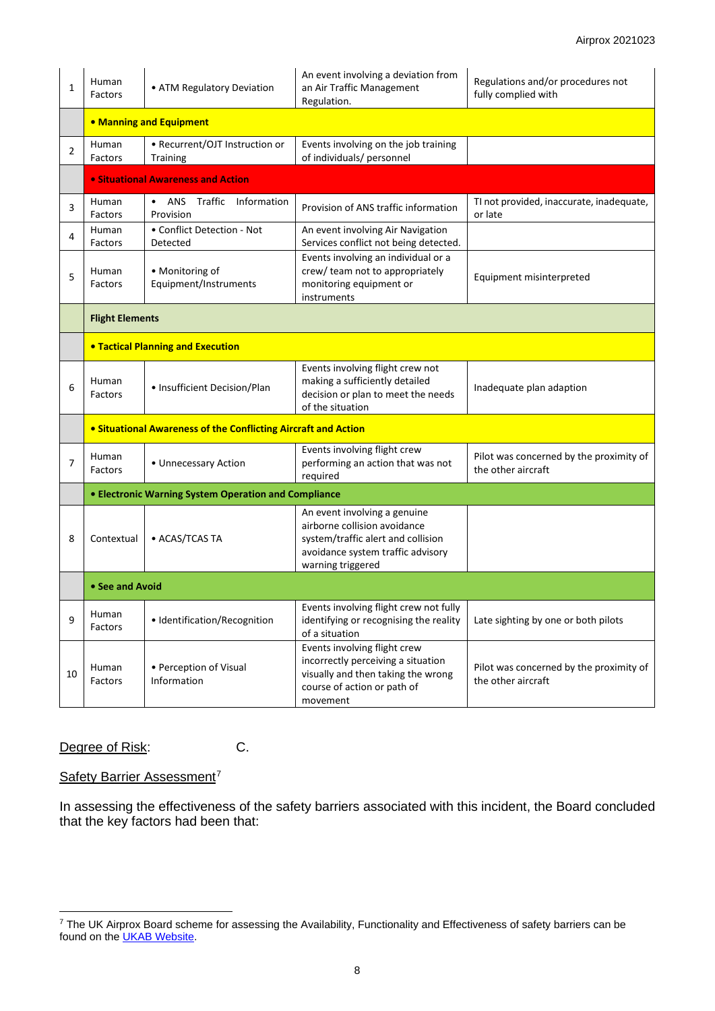| 1  | Human<br>Factors                                                      | • ATM Regulatory Deviation                                  | An event involving a deviation from<br>an Air Traffic Management<br>Regulation.                                                                              | Regulations and/or procedures not<br>fully complied with      |  |  |  |
|----|-----------------------------------------------------------------------|-------------------------------------------------------------|--------------------------------------------------------------------------------------------------------------------------------------------------------------|---------------------------------------------------------------|--|--|--|
|    | • Manning and Equipment                                               |                                                             |                                                                                                                                                              |                                                               |  |  |  |
| 2  | • Recurrent/OJT Instruction or<br>Human<br>Factors<br><b>Training</b> |                                                             | Events involving on the job training<br>of individuals/ personnel                                                                                            |                                                               |  |  |  |
|    | • Situational Awareness and Action                                    |                                                             |                                                                                                                                                              |                                                               |  |  |  |
| 3  | Human<br>Factors                                                      | • ANS Traffic Information<br>Provision                      | Provision of ANS traffic information                                                                                                                         | TI not provided, inaccurate, inadequate,<br>or late           |  |  |  |
| 4  | Human<br>Factors                                                      | • Conflict Detection - Not<br>Detected                      | An event involving Air Navigation<br>Services conflict not being detected.                                                                                   |                                                               |  |  |  |
| 5  | Human<br>Factors                                                      | • Monitoring of<br>Equipment/Instruments                    | Events involving an individual or a<br>crew/ team not to appropriately<br>monitoring equipment or<br>instruments                                             | Equipment misinterpreted                                      |  |  |  |
|    | <b>Flight Elements</b>                                                |                                                             |                                                                                                                                                              |                                                               |  |  |  |
|    | <b>• Tactical Planning and Execution</b>                              |                                                             |                                                                                                                                                              |                                                               |  |  |  |
| 6  | Human<br>• Insufficient Decision/Plan<br>Factors                      |                                                             | Events involving flight crew not<br>making a sufficiently detailed<br>decision or plan to meet the needs<br>of the situation                                 | Inadequate plan adaption                                      |  |  |  |
|    | • Situational Awareness of the Conflicting Aircraft and Action        |                                                             |                                                                                                                                                              |                                                               |  |  |  |
| 7  | Human<br>• Unnecessary Action<br>Factors                              |                                                             | Events involving flight crew<br>performing an action that was not<br>required                                                                                | Pilot was concerned by the proximity of<br>the other aircraft |  |  |  |
|    |                                                                       | <b>• Electronic Warning System Operation and Compliance</b> |                                                                                                                                                              |                                                               |  |  |  |
| 8  | • ACAS/TCAS TA<br>Contextual                                          |                                                             | An event involving a genuine<br>airborne collision avoidance<br>system/traffic alert and collision<br>avoidance system traffic advisory<br>warning triggered |                                                               |  |  |  |
|    | • See and Avoid                                                       |                                                             |                                                                                                                                                              |                                                               |  |  |  |
| 9  | Human<br>Factors                                                      | · Identification/Recognition                                | Events involving flight crew not fully<br>identifying or recognising the reality<br>of a situation                                                           | Late sighting by one or both pilots                           |  |  |  |
| 10 | • Perception of Visual<br>Human<br>Information<br>Factors             |                                                             | Events involving flight crew<br>incorrectly perceiving a situation<br>visually and then taking the wrong<br>course of action or path of<br>movement          | Pilot was concerned by the proximity of<br>the other aircraft |  |  |  |

Degree of Risk: C.

### Safety Barrier Assessment<sup>[7](#page-7-0)</sup>

In assessing the effectiveness of the safety barriers associated with this incident, the Board concluded that the key factors had been that:

<span id="page-7-0"></span> $^7$  The UK Airprox Board scheme for assessing the Availability, Functionality and Effectiveness of safety barriers can be found on the <u>UKAB Website</u>.